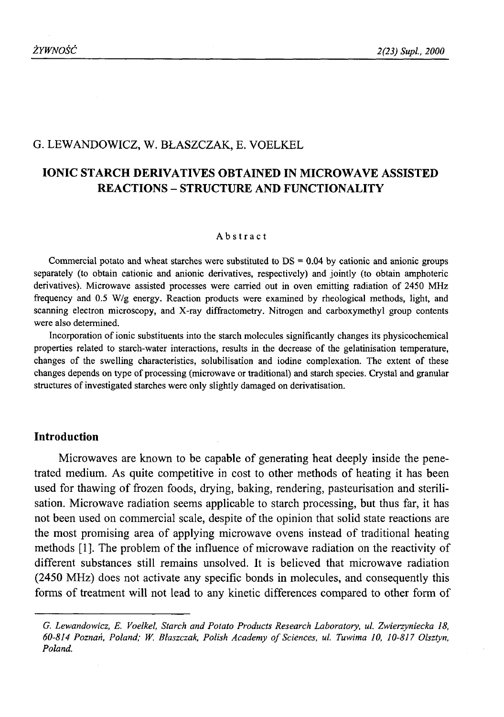#### G. LEWANDOWICZ, W. BŁASZCZAK, E. VOELKEL

# **IONIC STARCH DERIVATIVES OBTAINED IN MICROWAVE ASSISTED REACTIONS - STRUCTURE AND FUNCTIONALITY**

#### Abstract

Commercial potato and wheat starches were substituted to  $DS = 0.04$  by cationic and anionic groups separately (to obtain cationic and anionic derivatives, respectively) and jointly (to obtain amphoteric derivatives). Microwave assisted processes were carried out in oven emitting radiation of 2450 MHz frequency and 0.5 W/g energy. Reaction products were examined by rheological methods, light, and scanning electron microscopy, and X-ray diffractometry. Nitrogen and carboxymethyl group contents were also determined.

Incorporation of ionic substituents into the starch molecules significantly changes its physicochemical properties related to starch-water interactions, results in the decrease of the gelatinisation temperature, changes of the swelling characteristics, solubilisation and iodine complexation. The extent of these changes depends on type of processing (microwave or traditional) and starch species. Crystal and granular structures of investigated starches were only slightly damaged on derivatisation.

#### **Introduction**

Microwaves are known to be capable of generating heat deeply inside the penetrated medium. As quite competitive in cost to other methods of heating it has been used for thawing of frozen foods, drying, baking, rendering, pasteurisation and sterilisation. Microwave radiation seems applicable to starch processing, but thus far, it has not been used on commercial scale, despite of the opinion that solid state reactions are the most promising area of applying microwave ovens instead of traditional heating methods [1]. The problem of the influence of microwave radiation on the reactivity of different substances still remains unsolved. It is believed that microwave radiation (2450 MHz) does not activate any specific bonds in molecules, and consequently this forms of treatment will not lead to any kinetic differences compared to other form of

*G. Lewandowicz, E. Voelkel, Starch and Potato Products Research Laboratory, ul. Zwierzyniecka 18, 60-814 Poznań, Poland; W. Blaszczak, Polish Academy o f Sciences, ul. Tuwima 10, 10-817 Olsztyn, Poland.*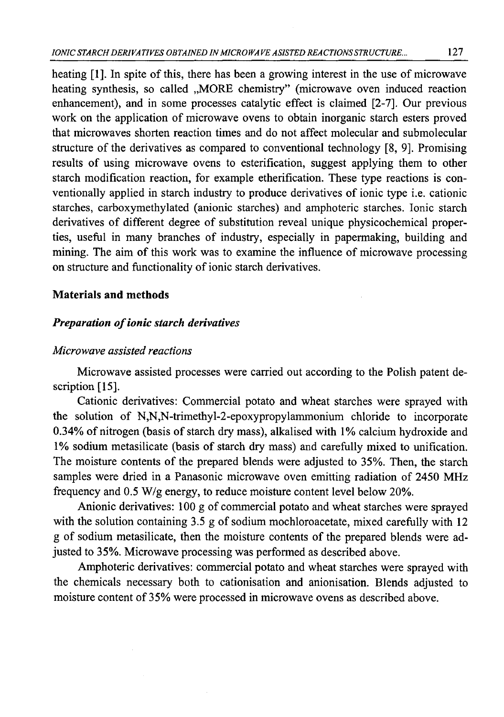heating  $[1]$ . In spite of this, there has been a growing interest in the use of microwave heating synthesis, so called ..MORE chemistry" (microwave oven induced reaction enhancement), and in some processes catalytic effect is claimed [2-7], Our previous work on the application of microwave ovens to obtain inorganic starch esters proved that microwaves shorten reaction times and do not affect molecular and submolecular structure of the derivatives as compared to conventional technology [8, 9]. Promising results of using microwave ovens to esterification, suggest applying them to other starch modification reaction, for example etherification. These type reactions is conventionally applied in starch industry to produce derivatives of ionic type i.e. cationic starches, carboxymethylated (anionic starches) and amphoteric starches. Ionic starch derivatives of different degree of substitution reveal unique physicochemical properties, useful in many branches of industry, especially in papermaking, building and mining. The aim of this work was to examine the influence of microwave processing on structure and functionality of ionic starch derivatives.

### **Materials and methods**

#### **Preparation of ionic starch derivatives**

#### *Microwave assisted reactions*

Microwave assisted processes were carried out according to the Polish patent description [15].

Cationic derivatives: Commercial potato and wheat starches were sprayed with the solution of N,N,N-trimethyl-2-epoxypropylammonium chloride to incorporate 0.34% of nitrogen (basis of starch dry mass), alkalised with 1% calcium hydroxide and 1% sodium metasilicate (basis of starch dry mass) and carefully mixed to unification. The moisture contents of the prepared blends were adjusted to 35%. Then, the starch samples were dried in a Panasonic microwave oven emitting radiation of 2450 MHz frequency and 0.5 W/g energy, to reduce moisture content level below 20%.

Anionic derivatives: 100 g of commercial potato and wheat starches were sprayed with the solution containing 3.5 g of sodium mochloroacetate, mixed carefully with 12 g of sodium metasilicate, then the moisture contents of the prepared blends were adjusted to 35%. Microwave processing was performed as described above.

Amphoteric derivatives: commercial potato and wheat starches were sprayed with the chemicals necessary both to cationisation and anionisation. Blends adjusted to moisture content of 35% were processed in microwave ovens as described above.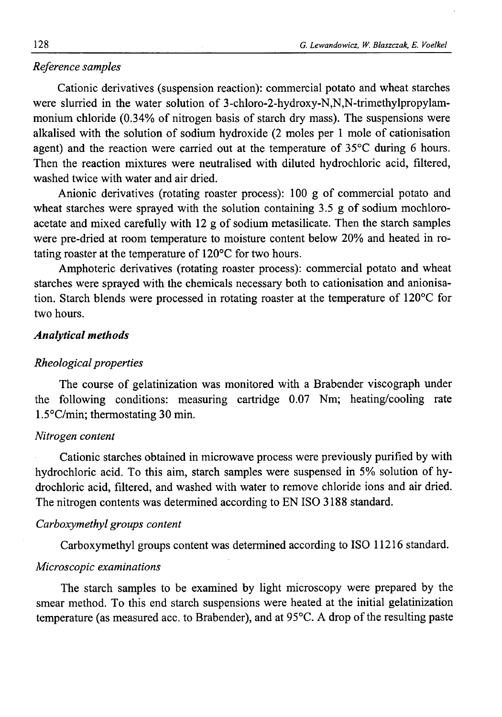#### *Reference samples*

Cationic derivatives (suspension reaction): commercial potato and wheat starches were slurried in the water solution of 3-chloro-2-hydroxy-N,N,N-trimethylpropylammonium chloride (0.34% of nitrogen basis of starch dry mass). The suspensions were alkalised with the solution of sodium hydroxide (2 moles per 1 mole of cationisation agent) and the reaction were carried out at the temperature of 35°C during 6 hours. Then the reaction mixtures were neutralised with diluted hydrochloric acid, filtered, washed twice with water and air dried.

Anionic derivatives (rotating roaster process): 100 g of commercial potato and wheat starches were sprayed with the solution containing 3.5 g of sodium mochloroacetate and mixed carefully with 12 g of sodium metasilicate. Then the starch samples were pre-dried at room temperature to moisture content below 20% and heated in rotating roaster at the temperature of 120°C for two hours.

Amphoteric derivatives (rotating roaster process): commercial potato and wheat starches were sprayed with the chemicals necessary both to cationisation and anionisation. Starch blends were processed in rotating roaster at the temperature of 120°C for two hours.

### *Analytical methods*

#### *Rheological properties*

The course of gelatinization was monitored with a Brabender viscograph under the following conditions: measuring cartridge 0.07 Nm; heating/cooling rate 1.5°C/min; thermostating 30 min.

#### *Nitrogen content*

Cationic starches obtained in microwave process were previously purified by with hydrochloric acid. To this aim, starch samples were suspensed in 5% solution of hydrochloric acid, filtered, and washed with water to remove chloride ions and air dried. The nitrogen contents was determined according to EN ISO 3188 standard.

### *Carboxymethyl groups content*

Carboxymethyl groups content was determined according to ISO 11216 standard.

#### *Microscopic examinations*

The starch samples to be examined by light microscopy were prepared by the smear method. To this end starch suspensions were heated at the initial gelatinization temperature (as measured acc. to Brabender), and at 95°C. A drop of the resulting paste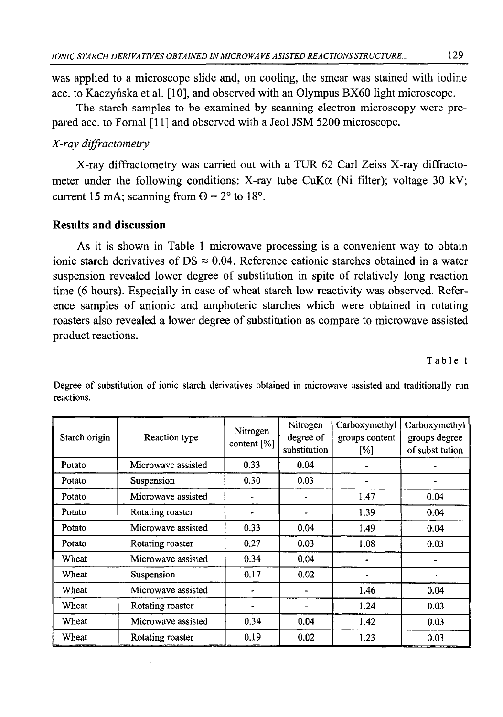was applied to a microscope slide and, on cooling, the smear was stained with iodine acc. to Kaczyńska et al. [10], and observed with an Olympus BX60 light microscope.

The starch samples to be examined by scanning electron microscopy were prepared acc. to Fornal [11] and observed with a Jeol JSM 5200 microscope.

### *X-ray diffractometry*

X-ray diffractometry was carried out with a TUR 62 Carl Zeiss X-ray diffractometer under the following conditions: X-ray tube CuK $\alpha$  (Ni filter); voltage 30 kV; current 15 mA; scanning from  $\Theta = 2^{\circ}$  to 18°.

### **Results and discussion**

As it is shown in Table 1 microwave processing is a convenient way to obtain ionic starch derivatives of DS  $\approx$  0.04. Reference cationic starches obtained in a water suspension revealed lower degree of substitution in spite of relatively long reaction time (6 hours). Especially in case of wheat starch low reactivity was observed. Reference samples of anionic and amphoteric starches which were obtained in rotating roasters also revealed a lower degree of substitution as compare to microwave assisted product reactions.

Table 1

| Starch origin | Reaction type      | Nitrogen<br>content $[\%]$ | Nitrogen<br>degree of<br>substitution | Carboxymethyl<br>groups content<br>[%] | Carboxymethyl<br>groups degree<br>of substitution |
|---------------|--------------------|----------------------------|---------------------------------------|----------------------------------------|---------------------------------------------------|
| Potato        | Microwave assisted | 0.33                       | 0.04                                  |                                        |                                                   |
| Potato        | Suspension         | 0.30                       | 0.03                                  |                                        |                                                   |
| Potato        | Microwave assisted |                            |                                       | 1.47                                   | 0.04                                              |
| Potato        | Rotating roaster   |                            |                                       | 1.39                                   | 0.04                                              |
| Potato        | Microwave assisted | 0.33                       | 0.04                                  | 1.49                                   | 0.04                                              |
| Potato        | Rotating roaster   | 0.27                       | 0.03                                  | 1.08                                   | 0.03                                              |
| Wheat         | Microwave assisted | 0.34                       | 0.04                                  |                                        |                                                   |
| Wheat         | Suspension         | 0.17                       | 0.02                                  |                                        |                                                   |
| Wheat         | Microwave assisted |                            |                                       | 1.46                                   | 0.04                                              |
| Wheat         | Rotating roaster   |                            |                                       | 1.24                                   | 0.03                                              |
| Wheat         | Microwave assisted | 0.34                       | 0.04                                  | 1.42                                   | 0.03                                              |
| Wheat         | Rotating roaster   | 0.19                       | 0.02                                  | 1.23                                   | 0.03                                              |

Degree of substitution of ionic starch derivatives obtained in microwave assisted and traditionally run reactions.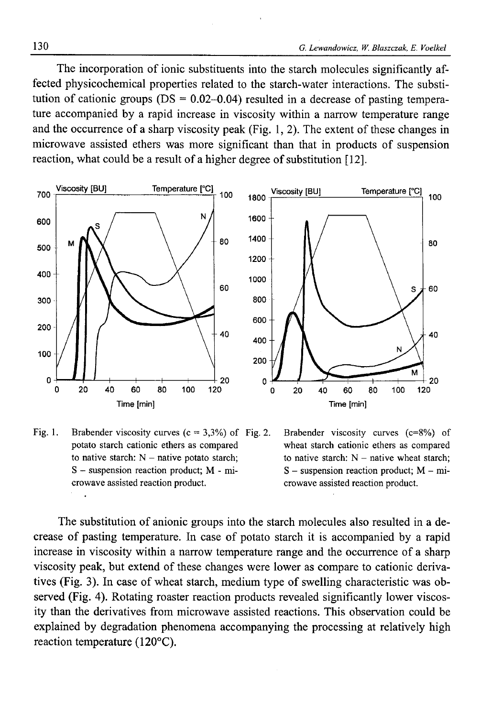The incorporation of ionic substituents into the starch molecules significantly affected physicochemical properties related to the starch-water interactions. The substitution of cationic groups ( $DS = 0.02 - 0.04$ ) resulted in a decrease of pasting temperature accompanied by a rapid increase in viscosity within a narrow temperature range and the occurrence of a sharp viscosity peak (Fig. 1, 2). The extent of these changes in microwave assisted ethers was more significant than that in products of suspension reaction, what could be a result of a higher degree of substitution [12].



Fig. 1. Brabender viscosity curves  $(c = 3,3\%)$  of Fig. 2. potato starch cationic ethers as compared to native starch:  $N -$  native potato starch; S - suspension reaction product; M - microwave assisted reaction product.



The substitution of anionic groups into the starch molecules also resulted in a decrease of pasting temperature. In case of potato starch it is accompanied by a rapid increase in viscosity within a narrow temperature range and the occurrence of a sharp viscosity peak, but extend of these changes were lower as compare to cationic derivatives (Fig. 3). In case of wheat starch, medium type of swelling characteristic was observed (Fig. 4). Rotating roaster reaction products revealed significantly lower viscosity than the derivatives from microwave assisted reactions. This observation could be explained by degradation phenomena accompanying the processing at relatively high reaction temperature (120°C).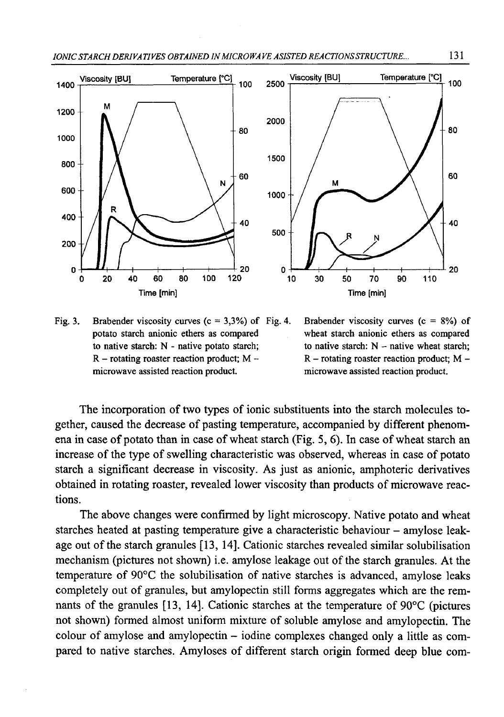

Fig. 3. Brabender viscosity curves  $(c = 3,3\%)$  of Fig. 4. potato starch anionic ethers as compared to native starch: N - native potato starch;  $R$  – rotating roaster reaction product; M – microwave assisted reaction product.

Brabender viscosity curves  $(c = 8\%)$  of wheat starch anionic ethers as compared to native starch:  $N -$  native wheat starch;  $R$  – rotating roaster reaction product; M – microwave assisted reaction product.

The incorporation of two types of ionic substituents into the starch molecules together, caused the decrease of pasting temperature, accompanied by different phenomena in case of potato than in case of wheat starch (Fig. 5, 6). In case of wheat starch an increase of the type of swelling characteristic was observed, whereas in case of potato starch a significant decrease in viscosity. As just as anionic, amphoteric derivatives obtained in rotating roaster, revealed lower viscosity than products of microwave reactions.

The above changes were confirmed by light microscopy. Native potato and wheat starches heated at pasting temperature give a characteristic behaviour - amylose leakage out of the starch granules [13, 14]. Cationic starches revealed similar solubilisation mechanism (pictures not shown) i.e. amylose leakage out of the starch granules. At the temperature of 90°C the solubilisation of native starches is advanced, amylose leaks completely out of granules, but amylopectin still forms aggregates which are the remnants of the granules [13, 14]. Cationic starches at the temperature of 90°C (pictures not shown) formed almost uniform mixture of soluble amylose and amylopectin. The colour of amylose and amylopectin - iodine complexes changed only a little as compared to native starches. Amyloses of different starch origin formed deep blue com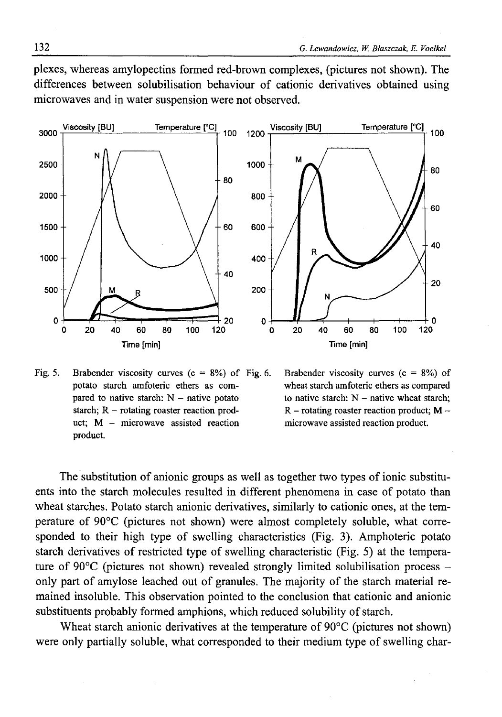plexes, whereas amylopectins formed red-brown complexes, (pictures not shown). The differences between solubilisation behaviour of cationic derivatives obtained using microwaves and in water suspension were not observed.



Fig. 5. Brabender viscosity curves  $(c = 8\%)$  of Fig. 6. potato starch amfoteric ethers as compared to native starch:  $N -$  native potato starch;  $R$  – rotating roaster reaction product;  $M -$  microwave assisted reaction product.

Brabender viscosity curves  $(c = 8\%)$  of wheat starch amfoteric ethers as compared to native starch:  $N -$  native wheat starch:  $R$  – rotating roaster reaction product;  $M$  – microwave assisted reaction product.

The substitution of anionic groups as well as together two types of ionic substituents into the starch molecules resulted in different phenomena in case of potato than wheat starches. Potato starch anionic derivatives, similarly to cationic ones, at the temperature of 90°C (pictures not shown) were almost completely soluble, what corresponded to their high type of swelling characteristics (Fig. 3). Amphoteric potato starch derivatives of restricted type of swelling characteristic (Fig. 5) at the temperature of  $90^{\circ}$ C (pictures not shown) revealed strongly limited solubilisation process – only part of amylose leached out of granules. The majority of the starch material remained insoluble. This observation pointed to the conclusion that cationic and anionic substituents probably formed amphions, which reduced solubility of starch.

Wheat starch anionic derivatives at the temperature of 90°C (pictures not shown) were only partially soluble, what corresponded to their medium type of swelling char-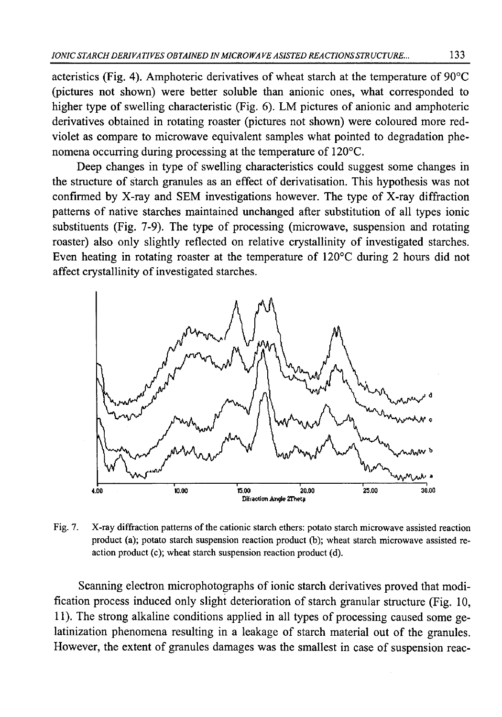acteristics (Fig. 4). Amphoteric derivatives of wheat starch at the temperature of  $90^{\circ}$ C (pictures not shown) were better soluble than anionic ones, what corresponded to higher type of swelling characteristic (Fig. 6). LM pictures of anionic and amphoteric derivatives obtained in rotating roaster (pictures not shown) were coloured more redviolet as compare to microwave equivalent samples what pointed to degradation phenomena occurring during processing at the temperature of 120°C.

Deep changes in type of swelling characteristics could suggest some changes in the structure of starch granules as an effect of derivatisation. This hypothesis was not confirmed by X-ray and SEM investigations however. The type of X-ray diffraction patterns of native starches maintained unchanged after substitution of all types ionic substituents (Fig. 7-9). The type of processing (microwave, suspension and rotating roaster) also only slightly reflected on relative crystallinity of investigated starches. Even heating in rotating roaster at the temperature of 120°C during 2 hours did not affect crystallinity of investigated starches.



Fig. 7. X-ray diffraction patterns of the cationic starch ethers: potato starch microwave assisted reaction product (a); potato starch suspension reaction product (b); wheat starch microwave assisted reaction product (c); wheat starch suspension reaction product (d).

Scanning electron microphotographs of ionic starch derivatives proved that modification process induced only slight deterioration of starch granular structure (Fig. 10, 11). The strong alkaline conditions applied in all types of processing caused some gelatinization phenomena resulting in a leakage of starch material out of the granules. However, the extent of granules damages was the smallest in case of suspension reac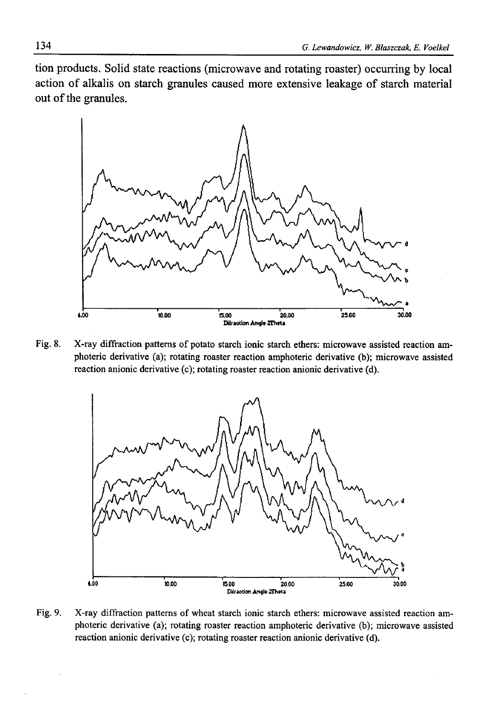tion products. Solid state reactions (microwave and rotating roaster) occurring by local action of alkalis on starch granules caused more extensive leakage of starch material out of the granules.



Fig. 8. X-ray diffraction patterns of potato starch ionic starch ethers: microwave assisted reaction amphoteric derivative (a); rotating roaster reaction amphoteric derivative (b); microwave assisted reaction anionic derivative (c); rotating roaster reaction anionic derivative (d).



Fig. 9. X-ray diffraction patterns of wheat starch ionic starch ethers: microwave assisted reaction amphoteric derivative (a); rotating roaster reaction amphoteric derivative (b); microwave assisted reaction anionic derivative (c); rotating roaster reaction anionic derivative (d).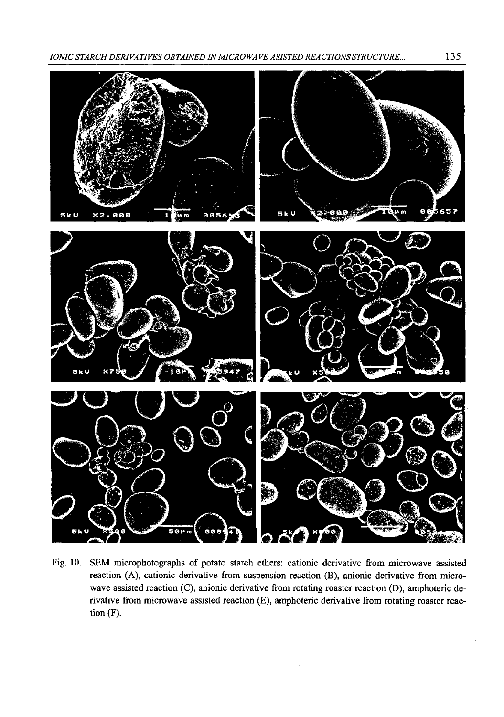*IONIC STARCH DERIVATIVES OBTAINED IN MICROWA VE ASISTED REACTIONS STRUCTURE...* 135



Fig. 10. SEM microphotographs of potato starch ethers: cationic derivative from microwave assisted reaction (A), cationic derivative from suspension reaction (B), anionic derivative from microwave assisted reaction (C), anionic derivative from rotating roaster reaction (D), amphoteric derivative from microwave assisted reaction (E), amphoteric derivative from rotating roaster reaction (F).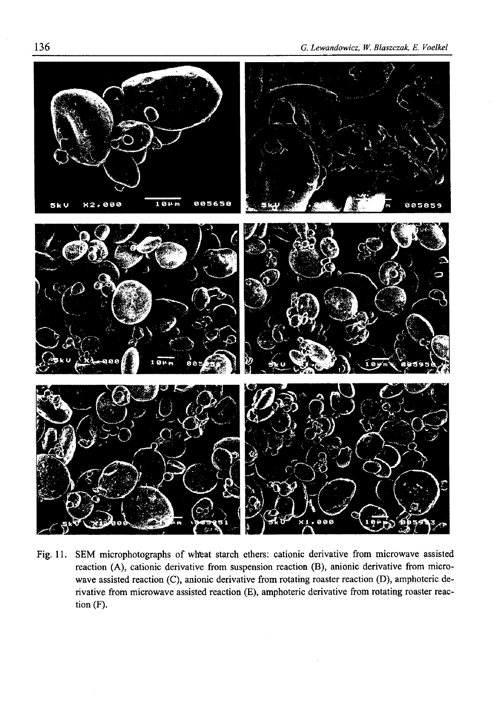

Fig. 11. SEM microphotographs of wheat starch ethers: cationic derivative from microwave assisted reaction (A), cationic derivative from suspension reaction (B), anionic derivative from microwave assisted reaction (C), anionic derivative from rotating roaster reaction (D), amphoteric derivative from microwave assisted reaction (E), amphoteric derivative from rotating roaster reaction (F).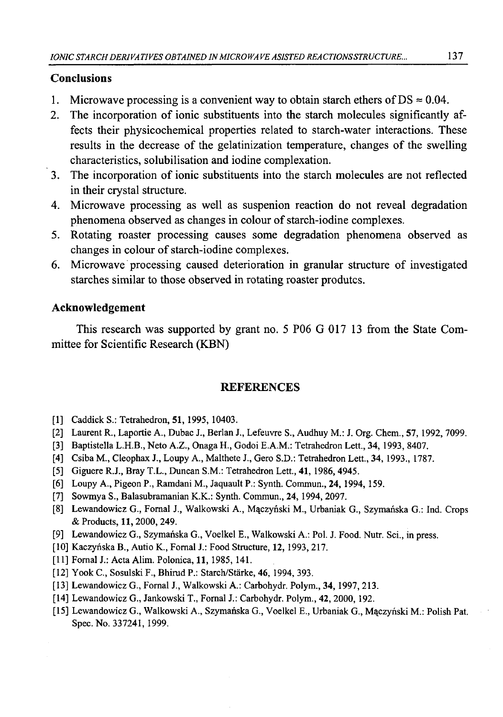### **Conclusions**

- 1. Microwave processing is a convenient way to obtain starch ethers of DS  $\approx 0.04$ .
- 2. The incorporation of ionic substituents into the starch molecules significantly affects their physicochemical properties related to starch-water interactions. These results in the decrease of the gelatinization temperature, changes of the swelling characteristics, solubilisation and iodine complexation.
- 3. The incorporation of ionic substituents into the starch molecules are not reflected in their crystal structure.
- 4. Microwave processing as well as suspenion reaction do not reveal degradation phenomena observed as changes in colour of starch-iodine complexes.
- 5. Rotating roaster processing causes some degradation phenomena observed as changes in colour of starch-iodine complexes.
- 6. Microwave processing caused deterioration in granular structure of investigated starches similar to those observed in rotating roaster produtcs.

### **Acknowledgement**

This research was supported by grant no. 5 P06 G 017 13 from the State Committee for Scientific Research (KBN)

## **REFERENCES**

- [1] Caddick S.: Tetrahedron, **51**, 1995, 10403.
- [2] Laurent R., Laportie A., Dubac J., Berlan J., Lefeuvre S., Audhuy M.: J. Org. Chem., 57,1992, 7099.
- [3] Baptistella L.H.B., Neto A.Z., Onaga H., Godoi E.A.M.: Tetrahedron Lett., 34, 1993, 8407.
- [4] Csiba M., Cleophax J., Loupy A., Malthete J., Gero S.D.: Tetrahedron Lett., 34, 1993., 1787.
- [5] Giguere R.J., Bray T.L., Duncan S.M.: Tetrahedron Lett., 41, 1986, 4945.
- [6] Loupy A., Pigeon P., Ramdani M., Jaquault P.: Synth. Commun., 24, 1994, 159.
- [7] Sowmya S., Balasubramanian K.K.: Synth. Commun., 24, 1994, 2097.
- [8] Lewandowicz G., Fornal J., Walkowski A., Mączyński M., Urbaniak G., Szymańska G.: Ind. Crops & Products, 11, 2000, 249.
- [9] Lewandowicz G., Szymańska G., Voelkel E., Walkowski A.: Pol. J. Food. Nutr. Sci., in press.
- [10] Kaczyńska B., Autio K., Fornal J.: Food Structure, 12, 1993,217.
- [11] Fornal J.: Acta Alim. Polonica, 11, 1985, 141.
- [12] Yook C., Sosulski F., Bhirud P.: Starch/Stärke, 46, 1994, 393.
- [13] Lewandowicz G., Fornal J., Walkowski A.: Carbohydr, Polym., 34, 1997, 213.
- [14] Lewandowicz G., Jankowski T., Fornal J.: Carbohydr. Polym., 42, 2000, 192.
- [15] Lewandowicz G., Walkowski A., Szymańska G., Voelkel E., Urbaniak G., Mączyński M.: Polish Pat. Spec. No. 337241, 1999.